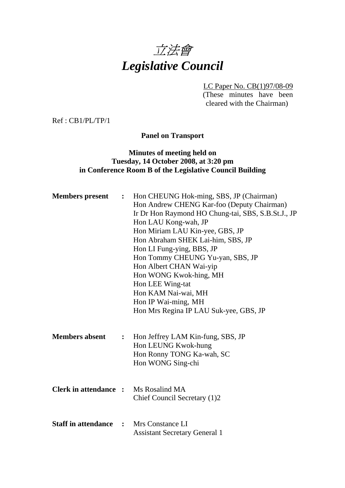

LC Paper No. CB(1)97/08-09

(These minutes have been cleared with the Chairman)

Ref : CB1/PL/TP/1

**Panel on Transport** 

## **Minutes of meeting held on Tuesday, 14 October 2008, at 3:20 pm in Conference Room B of the Legislative Council Building**

| <b>Members</b> present       | $\ddot{\cdot}$ | Hon CHEUNG Hok-ming, SBS, JP (Chairman)<br>Hon Andrew CHENG Kar-foo (Deputy Chairman)<br>Ir Dr Hon Raymond HO Chung-tai, SBS, S.B.St.J., JP<br>Hon LAU Kong-wah, JP<br>Hon Miriam LAU Kin-yee, GBS, JP<br>Hon Abraham SHEK Lai-him, SBS, JP<br>Hon LI Fung-ying, BBS, JP<br>Hon Tommy CHEUNG Yu-yan, SBS, JP<br>Hon Albert CHAN Wai-yip<br>Hon WONG Kwok-hing, MH<br>Hon LEE Wing-tat<br>Hon KAM Nai-wai, MH<br>Hon IP Wai-ming, MH<br>Hon Mrs Regina IP LAU Suk-yee, GBS, JP |
|------------------------------|----------------|-------------------------------------------------------------------------------------------------------------------------------------------------------------------------------------------------------------------------------------------------------------------------------------------------------------------------------------------------------------------------------------------------------------------------------------------------------------------------------|
| <b>Members absent</b>        | $\ddot{\cdot}$ | Hon Jeffrey LAM Kin-fung, SBS, JP<br>Hon LEUNG Kwok-hung<br>Hon Ronny TONG Ka-wah, SC<br>Hon WONG Sing-chi                                                                                                                                                                                                                                                                                                                                                                    |
| <b>Clerk in attendance :</b> |                | Ms Rosalind MA<br>Chief Council Secretary (1)2                                                                                                                                                                                                                                                                                                                                                                                                                                |
| <b>Staff in attendance</b>   |                | : Mrs Constance LI<br><b>Assistant Secretary General 1</b>                                                                                                                                                                                                                                                                                                                                                                                                                    |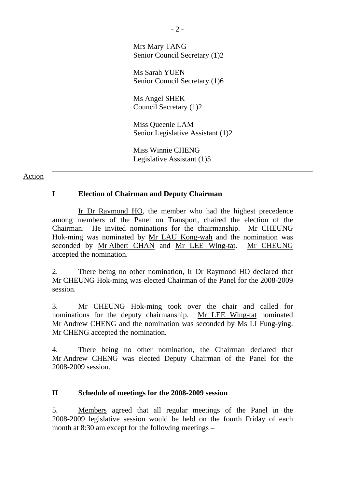Mrs Mary TANG Senior Council Secretary (1)2

Ms Sarah YUEN Senior Council Secretary (1)6

Ms Angel SHEK Council Secretary (1)2

Miss Queenie LAM Senior Legislative Assistant (1)2

Miss Winnie CHENG Legislative Assistant (1)5

### Action

# **I Election of Chairman and Deputy Chairman**

 Ir Dr Raymond HO, the member who had the highest precedence among members of the Panel on Transport, chaired the election of the Chairman. He invited nominations for the chairmanship. Mr CHEUNG Hok-ming was nominated by Mr LAU Kong-wah and the nomination was seconded by Mr Albert CHAN and Mr LEE Wing-tat. Mr CHEUNG accepted the nomination.

2. There being no other nomination, Ir Dr Raymond HO declared that Mr CHEUNG Hok-ming was elected Chairman of the Panel for the 2008-2009 session.

3. Mr CHEUNG Hok-ming took over the chair and called for nominations for the deputy chairmanship. Mr LEE Wing-tat nominated Mr Andrew CHENG and the nomination was seconded by Ms LI Fung-ying. Mr CHENG accepted the nomination.

4. There being no other nomination, the Chairman declared that Mr Andrew CHENG was elected Deputy Chairman of the Panel for the 2008-2009 session.

### **II Schedule of meetings for the 2008-2009 session**

5. Members agreed that all regular meetings of the Panel in the 2008-2009 legislative session would be held on the fourth Friday of each month at 8:30 am except for the following meetings –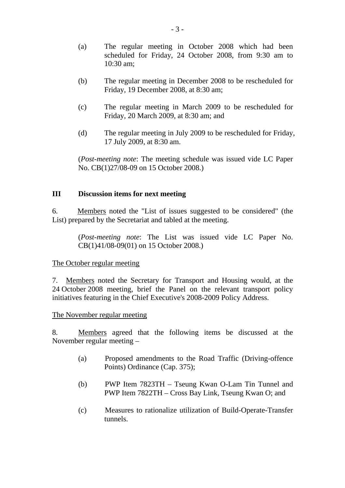- (a) The regular meeting in October 2008 which had been scheduled for Friday, 24 October 2008, from 9:30 am to 10:30 am;
- (b) The regular meeting in December 2008 to be rescheduled for Friday, 19 December 2008, at 8:30 am;
- (c) The regular meeting in March 2009 to be rescheduled for Friday, 20 March 2009, at 8:30 am; and
- (d) The regular meeting in July 2009 to be rescheduled for Friday, 17 July 2009, at 8:30 am.

(*Post-meeting note*: The meeting schedule was issued vide LC Paper No. CB(1)27/08-09 on 15 October 2008.)

#### **III Discussion items for next meeting**

6. Members noted the "List of issues suggested to be considered" (the List) prepared by the Secretariat and tabled at the meeting.

> (*Post-meeting note*: The List was issued vide LC Paper No. CB(1)41/08-09(01) on 15 October 2008.)

The October regular meeting

7. Members noted the Secretary for Transport and Housing would, at the 24 October 2008 meeting, brief the Panel on the relevant transport policy initiatives featuring in the Chief Executive's 2008-2009 Policy Address.

The November regular meeting

8. Members agreed that the following items be discussed at the November regular meeting –

- (a) Proposed amendments to the Road Traffic (Driving-offence Points) Ordinance (Cap. 375);
- (b) PWP Item 7823TH Tseung Kwan O-Lam Tin Tunnel and PWP Item 7822TH – Cross Bay Link, Tseung Kwan O; and
- (c) Measures to rationalize utilization of Build-Operate-Transfer tunnels.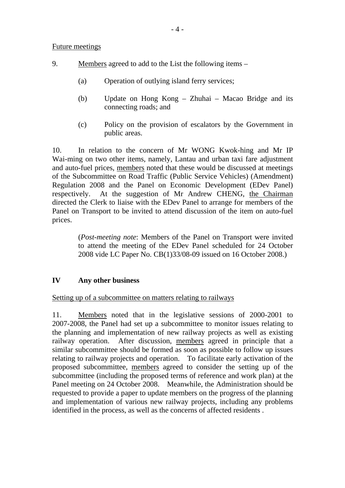Future meetings

- 9. Members agreed to add to the List the following items
	- (a) Operation of outlying island ferry services;
	- (b) Update on Hong Kong Zhuhai Macao Bridge and its connecting roads; and
	- (c) Policy on the provision of escalators by the Government in public areas.

10. In relation to the concern of Mr WONG Kwok-hing and Mr IP Wai-ming on two other items, namely, Lantau and urban taxi fare adjustment and auto-fuel prices, members noted that these would be discussed at meetings of the Subcommittee on Road Traffic (Public Service Vehicles) (Amendment) Regulation 2008 and the Panel on Economic Development (EDev Panel) respectively. At the suggestion of Mr Andrew CHENG, the Chairman directed the Clerk to liaise with the EDev Panel to arrange for members of the Panel on Transport to be invited to attend discussion of the item on auto-fuel prices.

> (*Post-meeting note*: Members of the Panel on Transport were invited to attend the meeting of the EDev Panel scheduled for 24 October 2008 vide LC Paper No. CB(1)33/08-09 issued on 16 October 2008.)

### **IV Any other business**

### Setting up of a subcommittee on matters relating to railways

11. Members noted that in the legislative sessions of 2000-2001 to 2007-2008, the Panel had set up a subcommittee to monitor issues relating to the planning and implementation of new railway projects as well as existing railway operation. After discussion, members agreed in principle that a similar subcommittee should be formed as soon as possible to follow up issues relating to railway projects and operation. To facilitate early activation of the proposed subcommittee, members agreed to consider the setting up of the subcommittee (including the proposed terms of reference and work plan) at the Panel meeting on 24 October 2008. Meanwhile, the Administration should be requested to provide a paper to update members on the progress of the planning and implementation of various new railway projects, including any problems identified in the process, as well as the concerns of affected residents .